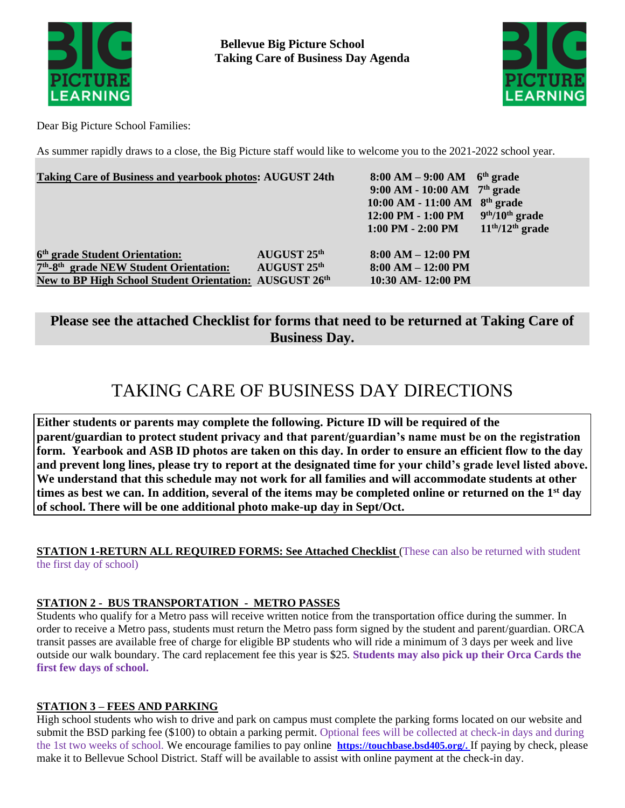

**Bellevue Big Picture School Taking Care of Business Day Agenda**



Dear Big Picture School Families:

As summer rapidly draws to a close, the Big Picture staff would like to welcome you to the 2021-2022 school year.

| <b>Taking Care of Business and yearbook photos: AUGUST 24th</b>                                                            |             | $8:00 AM - 9:00 AM$ 6 <sup>th</sup> grade<br>9:00 AM - 10:00 AM $7th$ grade<br>$10:00$ AM - 11:00 AM $8th$ grade<br>12:00 PM - 1:00 PM | $9th/10th$ grade  |
|----------------------------------------------------------------------------------------------------------------------------|-------------|----------------------------------------------------------------------------------------------------------------------------------------|-------------------|
| 6 <sup>th</sup> grade Student Orientation:                                                                                 | AUGUST 25th | $1:00$ PM - $2:00$ PM<br>$8:00 AM - 12:00 PM$                                                                                          | $11th/12th$ grade |
| 7 <sup>th</sup> -8 <sup>th</sup> grade NEW Student Orientation:<br>New to BP High School Student Orientation: AUSGUST 26th | AUGUST 25th | $8:00 AM - 12:00 PM$<br>10:30 AM-12:00 PM                                                                                              |                   |
|                                                                                                                            |             |                                                                                                                                        |                   |

## **Please see the attached Checklist for forms that need to be returned at Taking Care of Business Day.**

# TAKING CARE OF BUSINESS DAY DIRECTIONS

**Either students or parents may complete the following. Picture ID will be required of the parent/guardian to protect student privacy and that parent/guardian's name must be on the registration form. Yearbook and ASB ID photos are taken on this day. In order to ensure an efficient flow to the day and prevent long lines, please try to report at the designated time for your child's grade level listed above. We understand that this schedule may not work for all families and will accommodate students at other times as best we can. In addition, several of the items may be completed online or returned on the 1st day of school. There will be one additional photo make-up day in Sept/Oct.** 

#### **STATION 1-RETURN ALL REQUIRED FORMS: See Attached Checklist** (These can also be returned with student the first day of school)

## **STATION 2 - BUS TRANSPORTATION - METRO PASSES**

Students who qualify for a Metro pass will receive written notice from the transportation office during the summer. In order to receive a Metro pass, students must return the Metro pass form signed by the student and parent/guardian. ORCA transit passes are available free of charge for eligible BP students who will ride a minimum of 3 days per week and live outside our walk boundary. The card replacement fee this year is \$25. **Students may also pick up their Orca Cards the first few days of school.** 

#### **STATION 3 – FEES AND PARKING**

High school students who wish to drive and park on campus must complete the parking forms located on our website and submit the BSD parking fee (\$100) to obtain a parking permit. Optional fees will be collected at check-in days and during the 1st two weeks of school. We encourage families to pay online **[https://touchbase.bsd405.org/.](https://touchbase.bsd405.org/)** If paying by check, please make it to Bellevue School District. Staff will be available to assist with online payment at the check-in day.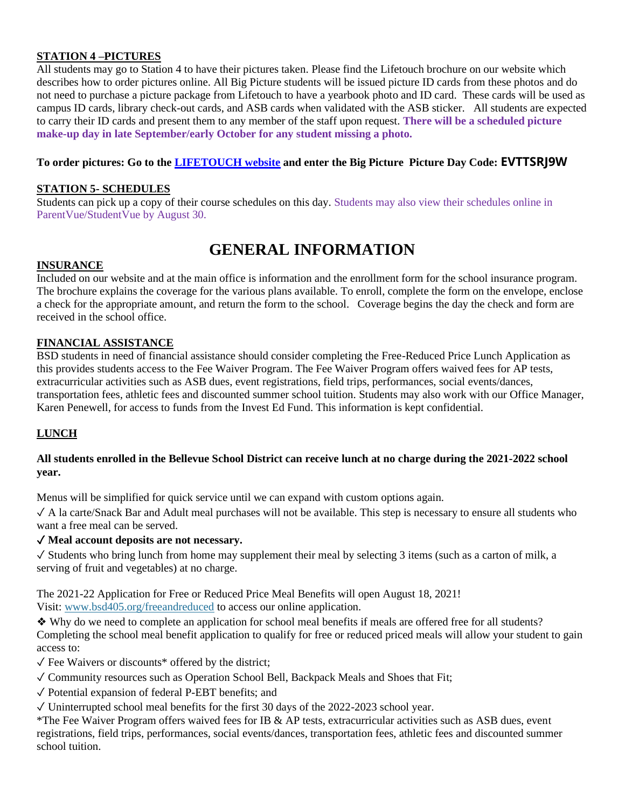#### **STATION 4 –PICTURES**

All students may go to Station 4 to have their pictures taken. Please find the Lifetouch brochure on our website which describes how to order pictures online. All Big Picture students will be issued picture ID cards from these photos and do not need to purchase a picture package from Lifetouch to have a yearbook photo and ID card. These cards will be used as campus ID cards, library check-out cards, and ASB cards when validated with the ASB sticker. All students are expected to carry their ID cards and present them to any member of the staff upon request. **There will be a scheduled picture make-up day in late September/early October for any student missing a photo.** 

#### **To order pictures: Go to the [LIFETOUCH website](https://my.lifetouch.com/mylifetouch/#/?utm_source=google&utm_medium=cpc&utm_campaign=search&utm_content=lifetouch_brand_exact) and enter the Big Picture Picture Day Code: EVTTSRJ9W**

#### **STATION 5- SCHEDULES**

Students can pick up a copy of their course schedules on this day. Students may also view their schedules online in ParentVue/StudentVue by August 30.

## **GENERAL INFORMATION**

#### **INSURANCE**

Included on our website and at the main office is information and the enrollment form for the school insurance program. The brochure explains the coverage for the various plans available. To enroll, complete the form on the envelope, enclose a check for the appropriate amount, and return the form to the school. Coverage begins the day the check and form are received in the school office.

#### **FINANCIAL ASSISTANCE**

BSD students in need of financial assistance should consider completing the Free-Reduced Price Lunch Application as this provides students access to the Fee Waiver Program. The Fee Waiver Program offers waived fees for AP tests, extracurricular activities such as ASB dues, event registrations, field trips, performances, social events/dances, transportation fees, athletic fees and discounted summer school tuition. Students may also work with our Office Manager, Karen Penewell, for access to funds from the Invest Ed Fund. This information is kept confidential.

#### **LUNCH**

#### **All students enrolled in the Bellevue School District can receive lunch at no charge during the 2021-2022 school year.**

Menus will be simplified for quick service until we can expand with custom options again.

✓ A la carte/Snack Bar and Adult meal purchases will not be available. This step is necessary to ensure all students who want a free meal can be served.

#### ✓ **Meal account deposits are not necessary.**

 $\checkmark$  Students who bring lunch from home may supplement their meal by selecting 3 items (such as a carton of milk, a serving of fruit and vegetables) at no charge.

The 2021-22 Application for Free or Reduced Price Meal Benefits will open August 18, 2021! Visit: [www.bsd405.org/freeandreduced](http://www.bsd405.org/freeandreduced) to access our online application.

❖ Why do we need to complete an application for school meal benefits if meals are offered free for all students? Completing the school meal benefit application to qualify for free or reduced priced meals will allow your student to gain access to:

 $\sqrt{\ }$  Fee Waivers or discounts\* offered by the district;

✓ Community resources such as Operation School Bell, Backpack Meals and Shoes that Fit;

✓ Potential expansion of federal P-EBT benefits; and

✓ Uninterrupted school meal benefits for the first 30 days of the 2022-2023 school year.

\*The Fee Waiver Program offers waived fees for IB & AP tests, extracurricular activities such as ASB dues, event registrations, field trips, performances, social events/dances, transportation fees, athletic fees and discounted summer school tuition.